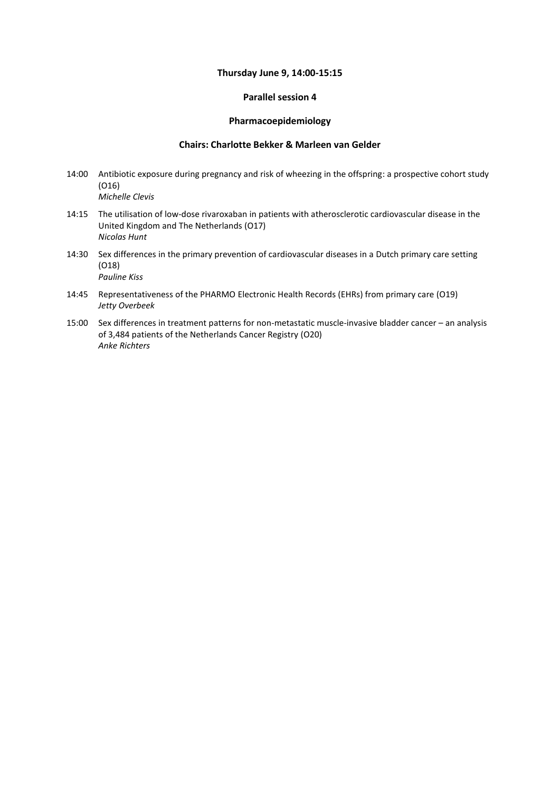#### **Thursday June 9, 14:00-15:15**

### **Parallel session 4**

### **Pharmacoepidemiology**

### **Chairs: Charlotte Bekker & Marleen van Gelder**

- 14:00 Antibiotic exposure during pregnancy and risk of wheezing in the offspring: a prospective cohort study (O16) *Michelle Clevis*
- 14:15 The utilisation of low-dose rivaroxaban in patients with atherosclerotic cardiovascular disease in the United Kingdom and The Netherlands (O17) *Nicolas Hunt*
- 14:30 Sex differences in the primary prevention of cardiovascular diseases in a Dutch primary care setting (O18) *Pauline Kiss*
- 14:45 Representativeness of the PHARMO Electronic Health Records (EHRs) from primary care (O19) *Jetty Overbeek*
- 15:00 Sex differences in treatment patterns for non-metastatic muscle-invasive bladder cancer an analysis of 3,484 patients of the Netherlands Cancer Registry (O20) *Anke Richters*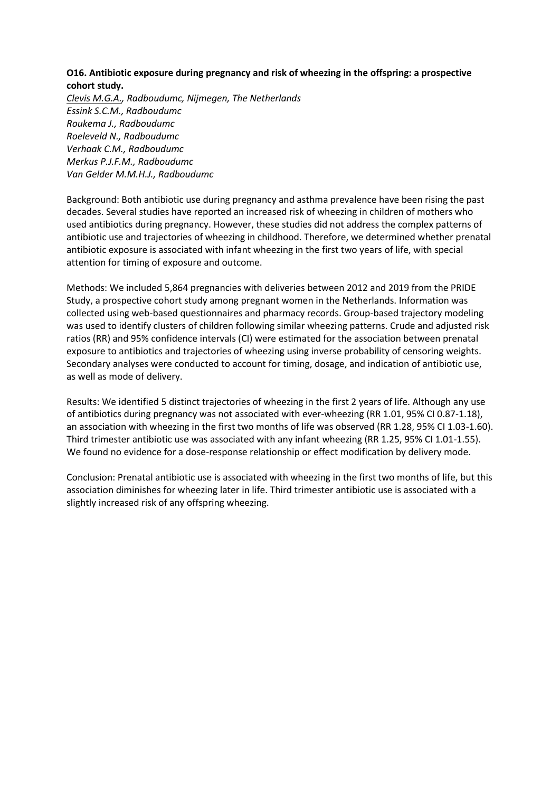# **O16. Antibiotic exposure during pregnancy and risk of wheezing in the offspring: a prospective cohort study.**

*Clevis M.G.A., Radboudumc, Nijmegen, The Netherlands Essink S.C.M., Radboudumc Roukema J., Radboudumc Roeleveld N., Radboudumc Verhaak C.M., Radboudumc Merkus P.J.F.M., Radboudumc Van Gelder M.M.H.J., Radboudumc*

Background: Both antibiotic use during pregnancy and asthma prevalence have been rising the past decades. Several studies have reported an increased risk of wheezing in children of mothers who used antibiotics during pregnancy. However, these studies did not address the complex patterns of antibiotic use and trajectories of wheezing in childhood. Therefore, we determined whether prenatal antibiotic exposure is associated with infant wheezing in the first two years of life, with special attention for timing of exposure and outcome.

Methods: We included 5,864 pregnancies with deliveries between 2012 and 2019 from the PRIDE Study, a prospective cohort study among pregnant women in the Netherlands. Information was collected using web-based questionnaires and pharmacy records. Group-based trajectory modeling was used to identify clusters of children following similar wheezing patterns. Crude and adjusted risk ratios (RR) and 95% confidence intervals (CI) were estimated for the association between prenatal exposure to antibiotics and trajectories of wheezing using inverse probability of censoring weights. Secondary analyses were conducted to account for timing, dosage, and indication of antibiotic use, as well as mode of delivery.

Results: We identified 5 distinct trajectories of wheezing in the first 2 years of life. Although any use of antibiotics during pregnancy was not associated with ever-wheezing (RR 1.01, 95% CI 0.87-1.18), an association with wheezing in the first two months of life was observed (RR 1.28, 95% CI 1.03-1.60). Third trimester antibiotic use was associated with any infant wheezing (RR 1.25, 95% CI 1.01-1.55). We found no evidence for a dose-response relationship or effect modification by delivery mode.

Conclusion: Prenatal antibiotic use is associated with wheezing in the first two months of life, but this association diminishes for wheezing later in life. Third trimester antibiotic use is associated with a slightly increased risk of any offspring wheezing.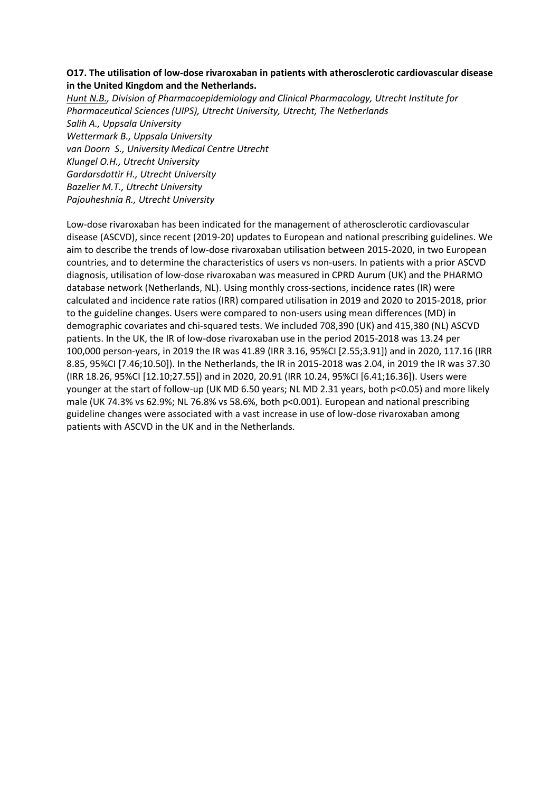## **O17. The utilisation of low-dose rivaroxaban in patients with atherosclerotic cardiovascular disease in the United Kingdom and the Netherlands.**

*Hunt N.B., Division of Pharmacoepidemiology and Clinical Pharmacology, Utrecht Institute for Pharmaceutical Sciences (UIPS), Utrecht University, Utrecht, The Netherlands Salih A., Uppsala University Wettermark B., Uppsala University van Doorn S., University Medical Centre Utrecht Klungel O.H., Utrecht University Gardarsdottir H., Utrecht University Bazelier M.T., Utrecht University Pajouheshnia R., Utrecht University*

Low-dose rivaroxaban has been indicated for the management of atherosclerotic cardiovascular disease (ASCVD), since recent (2019-20) updates to European and national prescribing guidelines. We aim to describe the trends of low-dose rivaroxaban utilisation between 2015-2020, in two European countries, and to determine the characteristics of users vs non-users. In patients with a prior ASCVD diagnosis, utilisation of low-dose rivaroxaban was measured in CPRD Aurum (UK) and the PHARMO database network (Netherlands, NL). Using monthly cross-sections, incidence rates (IR) were calculated and incidence rate ratios (IRR) compared utilisation in 2019 and 2020 to 2015-2018, prior to the guideline changes. Users were compared to non-users using mean differences (MD) in demographic covariates and chi-squared tests. We included 708,390 (UK) and 415,380 (NL) ASCVD patients. In the UK, the IR of low-dose rivaroxaban use in the period 2015-2018 was 13.24 per 100,000 person-years, in 2019 the IR was 41.89 (IRR 3.16, 95%CI [2.55;3.91]) and in 2020, 117.16 (IRR 8.85, 95%CI [7.46;10.50]). In the Netherlands, the IR in 2015-2018 was 2.04, in 2019 the IR was 37.30 (IRR 18.26, 95%CI [12.10;27.55]) and in 2020, 20.91 (IRR 10.24, 95%CI [6.41;16.36]). Users were younger at the start of follow-up (UK MD 6.50 years; NL MD 2.31 years, both p<0.05) and more likely male (UK 74.3% vs 62.9%; NL 76.8% vs 58.6%, both p<0.001). European and national prescribing guideline changes were associated with a vast increase in use of low-dose rivaroxaban among patients with ASCVD in the UK and in the Netherlands.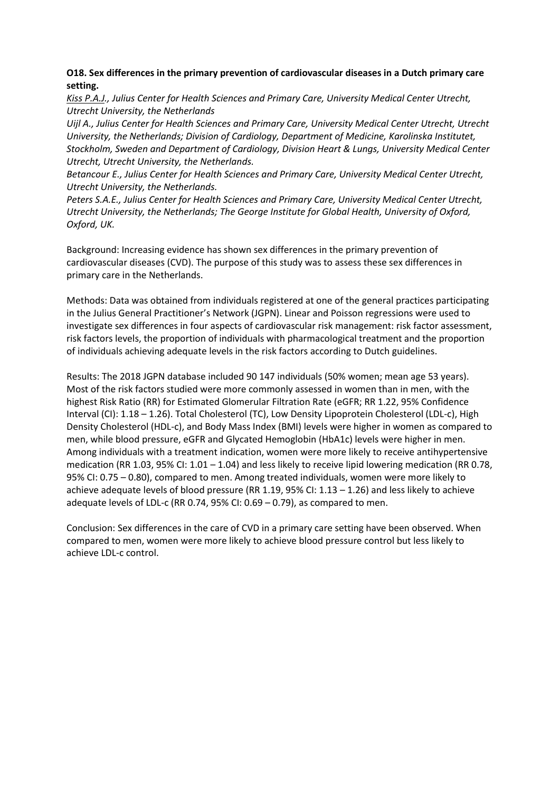## **O18. Sex differences in the primary prevention of cardiovascular diseases in a Dutch primary care setting.**

*Kiss P.A.J., Julius Center for Health Sciences and Primary Care, University Medical Center Utrecht, Utrecht University, the Netherlands*

*Uijl A., Julius Center for Health Sciences and Primary Care, University Medical Center Utrecht, Utrecht University, the Netherlands; Division of Cardiology, Department of Medicine, Karolinska Institutet, Stockholm, Sweden and Department of Cardiology, Division Heart & Lungs, University Medical Center Utrecht, Utrecht University, the Netherlands.*

*Betancour E., Julius Center for Health Sciences and Primary Care, University Medical Center Utrecht, Utrecht University, the Netherlands.*

*Peters S.A.E., Julius Center for Health Sciences and Primary Care, University Medical Center Utrecht, Utrecht University, the Netherlands; The George Institute for Global Health, University of Oxford, Oxford, UK.*

Background: Increasing evidence has shown sex differences in the primary prevention of cardiovascular diseases (CVD). The purpose of this study was to assess these sex differences in primary care in the Netherlands.

Methods: Data was obtained from individuals registered at one of the general practices participating in the Julius General Practitioner's Network (JGPN). Linear and Poisson regressions were used to investigate sex differences in four aspects of cardiovascular risk management: risk factor assessment, risk factors levels, the proportion of individuals with pharmacological treatment and the proportion of individuals achieving adequate levels in the risk factors according to Dutch guidelines.

Results: The 2018 JGPN database included 90 147 individuals (50% women; mean age 53 years). Most of the risk factors studied were more commonly assessed in women than in men, with the highest Risk Ratio (RR) for Estimated Glomerular Filtration Rate (eGFR; RR 1.22, 95% Confidence Interval (CI): 1.18 – 1.26). Total Cholesterol (TC), Low Density Lipoprotein Cholesterol (LDL-c), High Density Cholesterol (HDL-c), and Body Mass Index (BMI) levels were higher in women as compared to men, while blood pressure, eGFR and Glycated Hemoglobin (HbA1c) levels were higher in men. Among individuals with a treatment indication, women were more likely to receive antihypertensive medication (RR 1.03, 95% CI: 1.01 – 1.04) and less likely to receive lipid lowering medication (RR 0.78, 95% CI: 0.75 – 0.80), compared to men. Among treated individuals, women were more likely to achieve adequate levels of blood pressure (RR 1.19, 95% CI: 1.13 – 1.26) and less likely to achieve adequate levels of LDL-c (RR 0.74, 95% CI: 0.69 – 0.79), as compared to men.

Conclusion: Sex differences in the care of CVD in a primary care setting have been observed. When compared to men, women were more likely to achieve blood pressure control but less likely to achieve LDL-c control.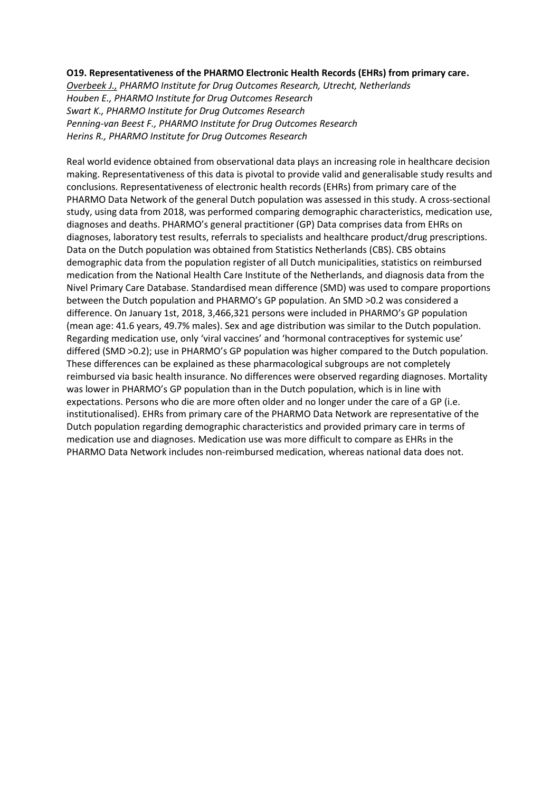### **O19. Representativeness of the PHARMO Electronic Health Records (EHRs) from primary care.**

*Overbeek J., PHARMO Institute for Drug Outcomes Research, Utrecht, Netherlands Houben E., PHARMO Institute for Drug Outcomes Research Swart K., PHARMO Institute for Drug Outcomes Research Penning-van Beest F., PHARMO Institute for Drug Outcomes Research Herins R., PHARMO Institute for Drug Outcomes Research*

Real world evidence obtained from observational data plays an increasing role in healthcare decision making. Representativeness of this data is pivotal to provide valid and generalisable study results and conclusions. Representativeness of electronic health records (EHRs) from primary care of the PHARMO Data Network of the general Dutch population was assessed in this study. A cross-sectional study, using data from 2018, was performed comparing demographic characteristics, medication use, diagnoses and deaths. PHARMO's general practitioner (GP) Data comprises data from EHRs on diagnoses, laboratory test results, referrals to specialists and healthcare product/drug prescriptions. Data on the Dutch population was obtained from Statistics Netherlands (CBS). CBS obtains demographic data from the population register of all Dutch municipalities, statistics on reimbursed medication from the National Health Care Institute of the Netherlands, and diagnosis data from the Nivel Primary Care Database. Standardised mean difference (SMD) was used to compare proportions between the Dutch population and PHARMO's GP population. An SMD >0.2 was considered a difference. On January 1st, 2018, 3,466,321 persons were included in PHARMO's GP population (mean age: 41.6 years, 49.7% males). Sex and age distribution was similar to the Dutch population. Regarding medication use, only 'viral vaccines' and 'hormonal contraceptives for systemic use' differed (SMD >0.2); use in PHARMO's GP population was higher compared to the Dutch population. These differences can be explained as these pharmacological subgroups are not completely reimbursed via basic health insurance. No differences were observed regarding diagnoses. Mortality was lower in PHARMO's GP population than in the Dutch population, which is in line with expectations. Persons who die are more often older and no longer under the care of a GP (i.e. institutionalised). EHRs from primary care of the PHARMO Data Network are representative of the Dutch population regarding demographic characteristics and provided primary care in terms of medication use and diagnoses. Medication use was more difficult to compare as EHRs in the PHARMO Data Network includes non-reimbursed medication, whereas national data does not.